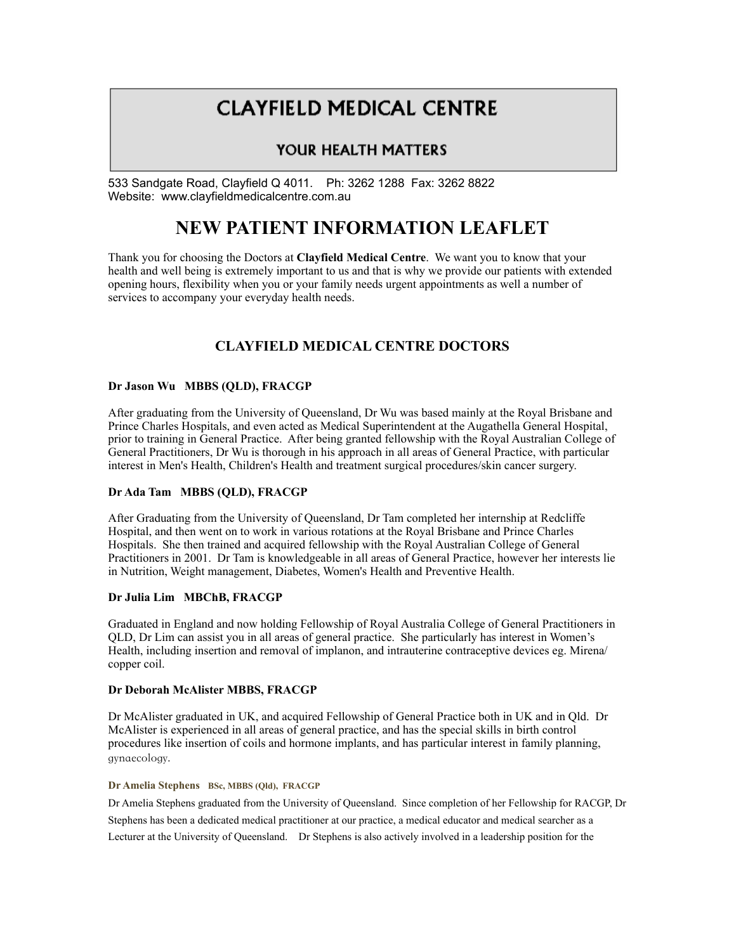# **CLAYFIELD MEDICAL CENTRE**

### YOUR HEALTH MATTERS

533 Sandgate Road, Clayfield Q 4011. Ph: 3262 1288 Fax: 3262 8822 Website: www.clayfieldmedicalcentre.com.au

## **NEW PATIENT INFORMATION LEAFLET**

Thank you for choosing the Doctors at **Clayfield Medical Centre**. We want you to know that your health and well being is extremely important to us and that is why we provide our patients with extended opening hours, flexibility when you or your family needs urgent appointments as well a number of services to accompany your everyday health needs.

### **CLAYFIELD MEDICAL CENTRE DOCTORS**

#### **Dr Jason Wu MBBS (QLD), FRACGP**

After graduating from the University of Queensland, Dr Wu was based mainly at the Royal Brisbane and Prince Charles Hospitals, and even acted as Medical Superintendent at the Augathella General Hospital, prior to training in General Practice. After being granted fellowship with the Royal Australian College of General Practitioners, Dr Wu is thorough in his approach in all areas of General Practice, with particular interest in Men's Health, Children's Health and treatment surgical procedures/skin cancer surgery.

#### **Dr Ada Tam MBBS (QLD), FRACGP**

After Graduating from the University of Queensland, Dr Tam completed her internship at Redcliffe Hospital, and then went on to work in various rotations at the Royal Brisbane and Prince Charles Hospitals. She then trained and acquired fellowship with the Royal Australian College of General Practitioners in 2001. Dr Tam is knowledgeable in all areas of General Practice, however her interests lie in Nutrition, Weight management, Diabetes, Women's Health and Preventive Health.

#### **Dr Julia Lim MBChB, FRACGP**

Graduated in England and now holding Fellowship of Royal Australia College of General Practitioners in QLD, Dr Lim can assist you in all areas of general practice. She particularly has interest in Women's Health, including insertion and removal of implanon, and intrauterine contraceptive devices eg. Mirena/ copper coil.

#### **Dr Deborah McAlister MBBS, FRACGP**

Dr McAlister graduated in UK, and acquired Fellowship of General Practice both in UK and in Qld. Dr McAlister is experienced in all areas of general practice, and has the special skills in birth control procedures like insertion of coils and hormone implants, and has particular interest in family planning, gynaecology.

#### **Dr Amelia Stephens BSc, MBBS (Qld), FRACGP**

Dr Amelia Stephens graduated from the University of Queensland. Since completion of her Fellowship for RACGP, Dr Stephens has been a dedicated medical practitioner at our practice, a medical educator and medical searcher as a Lecturer at the University of Queensland. Dr Stephens is also actively involved in a leadership position for the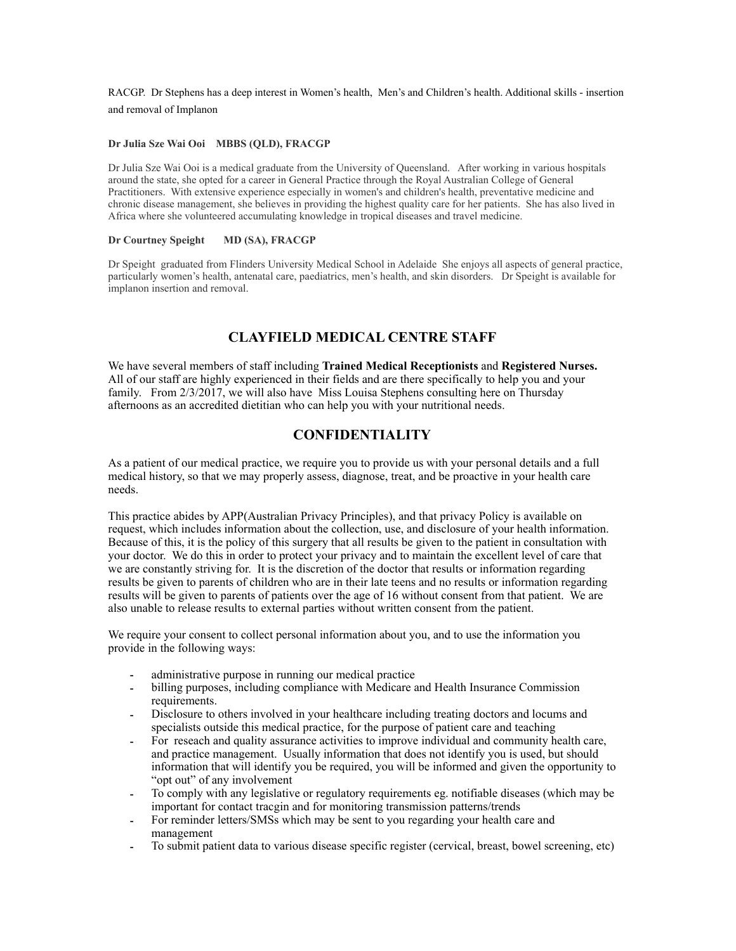RACGP. Dr Stephens has a deep interest in Women's health, Men's and Children's health. Additional skills - insertion and removal of Implanon

#### **Dr Julia Sze Wai Ooi MBBS (QLD), FRACGP**

Dr Julia Sze Wai Ooi is a medical graduate from the University of Queensland. After working in various hospitals around the state, she opted for a career in General Practice through the Royal Australian College of General Practitioners. With extensive experience especially in women's and children's health, preventative medicine and chronic disease management, she believes in providing the highest quality care for her patients. She has also lived in Africa where she volunteered accumulating knowledge in tropical diseases and travel medicine.

#### **Dr Courtney Speight MD (SA), FRACGP**

Dr Speight graduated from Flinders University Medical School in Adelaide She enjoys all aspects of general practice, particularly women's health, antenatal care, paediatrics, men's health, and skin disorders. Dr Speight is available for implanon insertion and removal.

### **CLAYFIELD MEDICAL CENTRE STAFF**

We have several members of staff including **Trained Medical Receptionists** and **Registered Nurses.** All of our staff are highly experienced in their fields and are there specifically to help you and your family. From 2/3/2017, we will also have Miss Louisa Stephens consulting here on Thursday afternoons as an accredited dietitian who can help you with your nutritional needs.

#### **CONFIDENTIALITY**

As a patient of our medical practice, we require you to provide us with your personal details and a full medical history, so that we may properly assess, diagnose, treat, and be proactive in your health care needs.

This practice abides by APP(Australian Privacy Principles), and that privacy Policy is available on request, which includes information about the collection, use, and disclosure of your health information. Because of this, it is the policy of this surgery that all results be given to the patient in consultation with your doctor. We do this in order to protect your privacy and to maintain the excellent level of care that we are constantly striving for. It is the discretion of the doctor that results or information regarding results be given to parents of children who are in their late teens and no results or information regarding results will be given to parents of patients over the age of 16 without consent from that patient. We are also unable to release results to external parties without written consent from the patient.

We require your consent to collect personal information about you, and to use the information you provide in the following ways:

- administrative purpose in running our medical practice
- billing purposes, including compliance with Medicare and Health Insurance Commission requirements.
- Disclosure to others involved in your healthcare including treating doctors and locums and specialists outside this medical practice, for the purpose of patient care and teaching
- For reseach and quality assurance activities to improve individual and community health care, and practice management. Usually information that does not identify you is used, but should information that will identify you be required, you will be informed and given the opportunity to "opt out" of any involvement
- To comply with any legislative or regulatory requirements eg. notifiable diseases (which may be important for contact tracgin and for monitoring transmission patterns/trends
- For reminder letters/SMSs which may be sent to you regarding your health care and management
- To submit patient data to various disease specific register (cervical, breast, bowel screening, etc)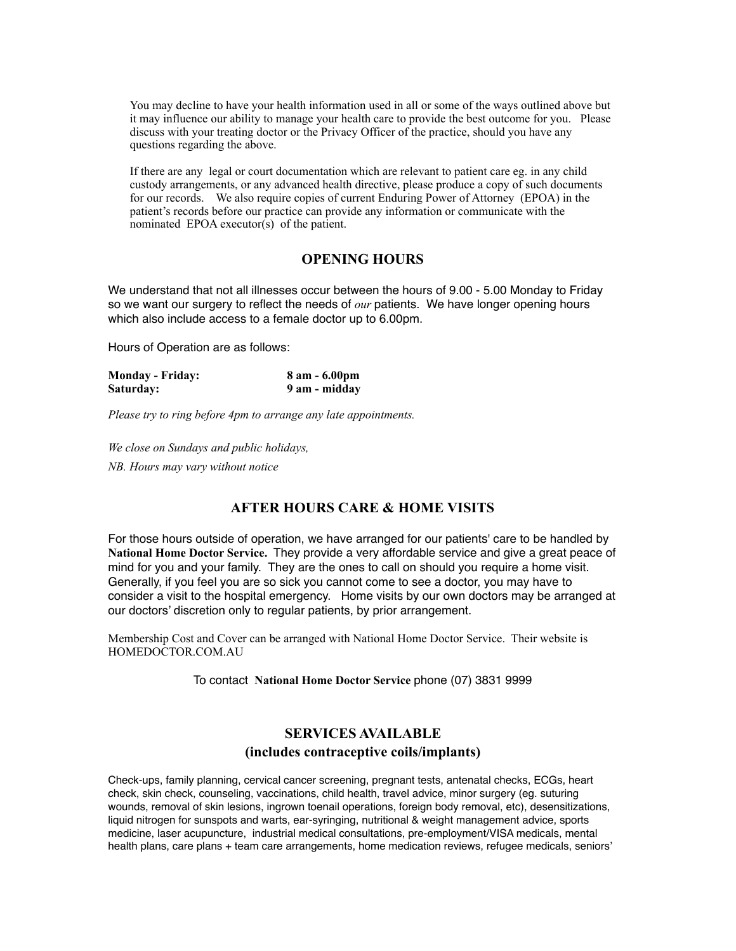You may decline to have your health information used in all or some of the ways outlined above but it may influence our ability to manage your health care to provide the best outcome for you. Please discuss with your treating doctor or the Privacy Officer of the practice, should you have any questions regarding the above.

If there are any legal or court documentation which are relevant to patient care eg. in any child custody arrangements, or any advanced health directive, please produce a copy of such documents for our records. We also require copies of current Enduring Power of Attorney (EPOA) in the patient's records before our practice can provide any information or communicate with the nominated EPOA executor(s) of the patient.

#### **OPENING HOURS**

We understand that not all illnesses occur between the hours of 9.00 - 5.00 Monday to Friday so we want our surgery to reflect the needs of *our* patients. We have longer opening hours which also include access to a female doctor up to 6.00pm.

Hours of Operation are as follows:

| <b>Monday - Friday:</b> | $8$ am $-6.00$ pm |
|-------------------------|-------------------|
| Saturday:               | 9 am - midday     |

*Please try to ring before 4pm to arrange any late appointments.* 

*We close on Sundays and public holidays,* 

*NB. Hours may vary without notice* 

### **AFTER HOURS CARE & HOME VISITS**

For those hours outside of operation, we have arranged for our patients' care to be handled by **National Home Doctor Service.** They provide a very affordable service and give a great peace of mind for you and your family. They are the ones to call on should you require a home visit. Generally, if you feel you are so sick you cannot come to see a doctor, you may have to consider a visit to the hospital emergency. Home visits by our own doctors may be arranged at our doctors' discretion only to regular patients, by prior arrangement.

Membership Cost and Cover can be arranged with National Home Doctor Service. Their website is HOMEDOCTOR.COM.AU

To contact **National Home Doctor Service** phone (07) 3831 9999

### **SERVICES AVAILABLE (includes contraceptive coils/implants)**

Check-ups, family planning, cervical cancer screening, pregnant tests, antenatal checks, ECGs, heart check, skin check, counseling, vaccinations, child health, travel advice, minor surgery (eg. suturing wounds, removal of skin lesions, ingrown toenail operations, foreign body removal, etc), desensitizations, liquid nitrogen for sunspots and warts, ear-syringing, nutritional & weight management advice, sports medicine, laser acupuncture, industrial medical consultations, pre-employment/VISA medicals, mental health plans, care plans + team care arrangements, home medication reviews, refugee medicals, seniors'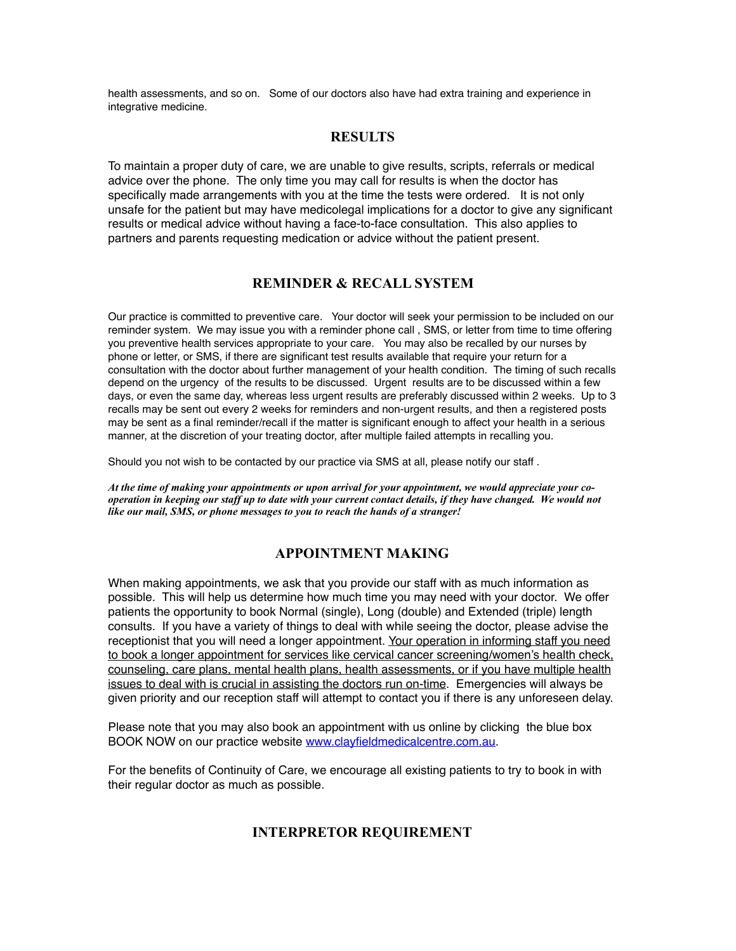health assessments, and so on. Some of our doctors also have had extra training and experience in integrative medicine.

### **RESULTS**

To maintain a proper duty of care, we are unable to give results, scripts, referrals or medical advice over the phone. The only time you may call for results is when the doctor has specifically made arrangements with you at the time the tests were ordered. It is not only unsafe for the patient but may have medicolegal implications for a doctor to give any significant results or medical advice without having a face-to-face consultation. This also applies to partners and parents requesting medication or advice without the patient present.

#### **REMINDER & RECALL SYSTEM**

Our practice is committed to preventive care. Your doctor will seek your permission to be included on our reminder system. We may issue you with a reminder phone call , SMS, or letter from time to time offering you preventive health services appropriate to your care. You may also be recalled by our nurses by phone or letter, or SMS, if there are significant test results available that require your return for a consultation with the doctor about further management of your health condition. The timing of such recalls depend on the urgency of the results to be discussed. Urgent results are to be discussed within a few days, or even the same day, whereas less urgent results are preferably discussed within 2 weeks. Up to 3 recalls may be sent out every 2 weeks for reminders and non-urgent results, and then a registered posts may be sent as a final reminder/recall if the matter is significant enough to affect your health in a serious manner, at the discretion of your treating doctor, after multiple failed attempts in recalling you.

Should you not wish to be contacted by our practice via SMS at all, please notify our staff .

*At the time of making your appointments or upon arrival for your appointment, we would appreciate your cooperation in keeping our staff up to date with your current contact details, if they have changed. We would not like our mail, SMS, or phone messages to you to reach the hands of a stranger!* 

### **APPOINTMENT MAKING**

When making appointments, we ask that you provide our staff with as much information as possible. This will help us determine how much time you may need with your doctor. We offer patients the opportunity to book Normal (single), Long (double) and Extended (triple) length consults. If you have a variety of things to deal with while seeing the doctor, please advise the receptionist that you will need a longer appointment. Your operation in informing staff you need to book a longer appointment for services like cervical cancer screening/women's health check, counseling, care plans, mental health plans, health assessments, or if you have multiple health issues to deal with is crucial in assisting the doctors run on-time. Emergencies will always be given priority and our reception staff will attempt to contact you if there is any unforeseen delay.

Please note that you may also book an appointment with us online by clicking the blue box BOOK NOW on our practice website [www.clayfieldmedicalcentre.com.au](http://www.clayfieldmedicalcentre.com.au).

For the benefits of Continuity of Care, we encourage all existing patients to try to book in with their regular doctor as much as possible.

### **INTERPRETOR REQUIREMENT**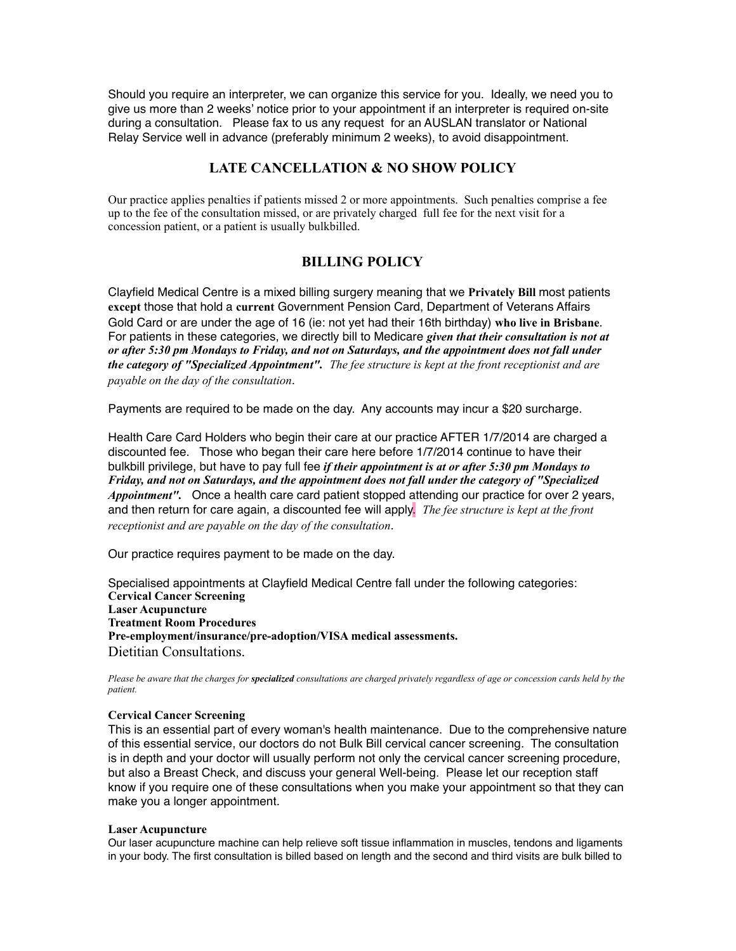Should you require an interpreter, we can organize this service for you. Ideally, we need you to give us more than 2 weeks' notice prior to your appointment if an interpreter is required on-site during a consultation. Please fax to us any request for an AUSLAN translator or National Relay Service well in advance (preferably minimum 2 weeks), to avoid disappointment.

### **LATE CANCELLATION & NO SHOW POLICY**

Our practice applies penalties if patients missed 2 or more appointments. Such penalties comprise a fee up to the fee of the consultation missed, or are privately charged full fee for the next visit for a concession patient, or a patient is usually bulkbilled.

### **BILLING POLICY**

Clayfield Medical Centre is a mixed billing surgery meaning that we **Privately Bill** most patients **except** those that hold a **current** Government Pension Card, Department of Veterans Affairs Gold Card or are under the age of 16 (ie: not yet had their 16th birthday) **who live in Brisbane**. For patients in these categories, we directly bill to Medicare *given that their consultation is not at or after 5:30 pm Mondays to Friday, and not on Saturdays, and the appointment does not fall under the category of "Specialized Appointment". The fee structure is kept at the front receptionist and are payable on the day of the consultation*.

Payments are required to be made on the day. Any accounts may incur a \$20 surcharge.

Health Care Card Holders who begin their care at our practice AFTER 1/7/2014 are charged a discounted fee. Those who began their care here before 1/7/2014 continue to have their bulkbill privilege, but have to pay full fee *if their appointment is at or after 5:30 pm Mondays to Friday, and not on Saturdays, and the appointment does not fall under the category of "Specialized Appointment".* Once a health care card patient stopped attending our practice for over 2 years, and then return for care again, a discounted fee will apply. *The fee structure is kept at the front receptionist and are payable on the day of the consultation*.

Our practice requires payment to be made on the day.

Specialised appointments at Clayfield Medical Centre fall under the following categories: **Cervical Cancer Screening Laser Acupuncture Treatment Room Procedures Pre-employment/insurance/pre-adoption/VISA medical assessments.**  Dietitian Consultations.

*Please be aware that the charges for specialized consultations are charged privately regardless of age or concession cards held by the patient.* 

#### **Cervical Cancer Screening**

This is an essential part of every woman's health maintenance. Due to the comprehensive nature of this essential service, our doctors do not Bulk Bill cervical cancer screening. The consultation is in depth and your doctor will usually perform not only the cervical cancer screening procedure, but also a Breast Check, and discuss your general Well-being. Please let our reception staff know if you require one of these consultations when you make your appointment so that they can make you a longer appointment.

#### **Laser Acupuncture**

Our laser acupuncture machine can help relieve soft tissue inflammation in muscles, tendons and ligaments in your body. The first consultation is billed based on length and the second and third visits are bulk billed to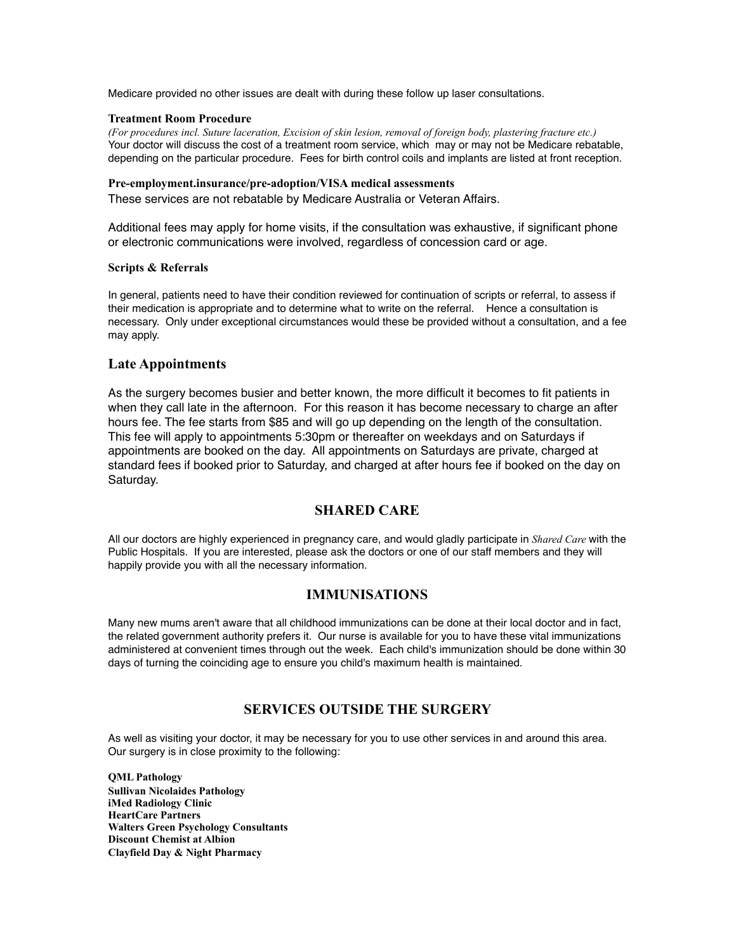Medicare provided no other issues are dealt with during these follow up laser consultations.

#### **Treatment Room Procedure**

*(For procedures incl. Suture laceration, Excision of skin lesion, removal of foreign body, plastering fracture etc.)*  Your doctor will discuss the cost of a treatment room service, which may or may not be Medicare rebatable, depending on the particular procedure. Fees for birth control coils and implants are listed at front reception.

#### **Pre-employment.insurance/pre-adoption/VISA medical assessments**

These services are not rebatable by Medicare Australia or Veteran Affairs.

Additional fees may apply for home visits, if the consultation was exhaustive, if significant phone or electronic communications were involved, regardless of concession card or age.

#### **Scripts & Referrals**

In general, patients need to have their condition reviewed for continuation of scripts or referral, to assess if their medication is appropriate and to determine what to write on the referral. Hence a consultation is necessary. Only under exceptional circumstances would these be provided without a consultation, and a fee may apply.

#### **Late Appointments**

As the surgery becomes busier and better known, the more difficult it becomes to fit patients in when they call late in the afternoon. For this reason it has become necessary to charge an after hours fee. The fee starts from \$85 and will go up depending on the length of the consultation. This fee will apply to appointments 5:30pm or thereafter on weekdays and on Saturdays if appointments are booked on the day. All appointments on Saturdays are private, charged at standard fees if booked prior to Saturday, and charged at after hours fee if booked on the day on Saturday.

#### **SHARED CARE**

All our doctors are highly experienced in pregnancy care, and would gladly participate in *Shared Care* with the Public Hospitals. If you are interested, please ask the doctors or one of our staff members and they will happily provide you with all the necessary information.

#### **IMMUNISATIONS**

Many new mums aren't aware that all childhood immunizations can be done at their local doctor and in fact, the related government authority prefers it. Our nurse is available for you to have these vital immunizations administered at convenient times through out the week. Each child's immunization should be done within 30 days of turning the coinciding age to ensure you child's maximum health is maintained.

### **SERVICES OUTSIDE THE SURGERY**

As well as visiting your doctor, it may be necessary for you to use other services in and around this area. Our surgery is in close proximity to the following:

**QML Pathology Sullivan Nicolaides Pathology iMed Radiology Clinic HeartCare Partners Walters Green Psychology Consultants Discount Chemist at Albion Clayfield Day & Night Pharmacy**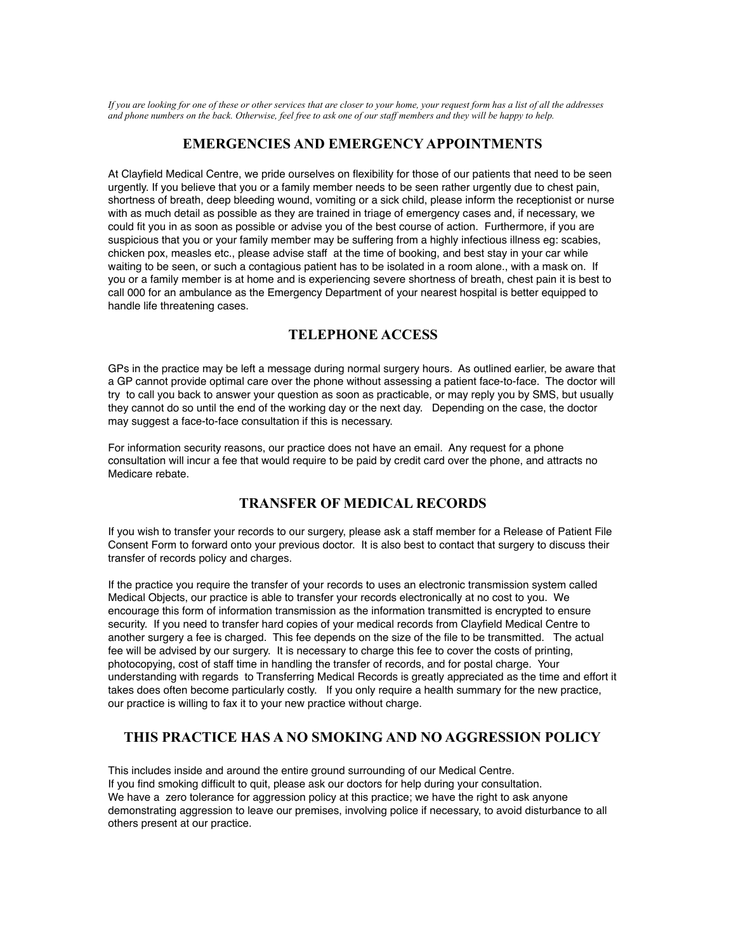*If you are looking for one of these or other services that are closer to your home, your request form has a list of all the addresses and phone numbers on the back. Otherwise, feel free to ask one of our staff members and they will be happy to help.* 

#### **EMERGENCIES AND EMERGENCY APPOINTMENTS**

At Clayfield Medical Centre, we pride ourselves on flexibility for those of our patients that need to be seen urgently. If you believe that you or a family member needs to be seen rather urgently due to chest pain, shortness of breath, deep bleeding wound, vomiting or a sick child, please inform the receptionist or nurse with as much detail as possible as they are trained in triage of emergency cases and, if necessary, we could fit you in as soon as possible or advise you of the best course of action. Furthermore, if you are suspicious that you or your family member may be suffering from a highly infectious illness eg: scabies, chicken pox, measles etc., please advise staff at the time of booking, and best stay in your car while waiting to be seen, or such a contagious patient has to be isolated in a room alone., with a mask on. If you or a family member is at home and is experiencing severe shortness of breath, chest pain it is best to call 000 for an ambulance as the Emergency Department of your nearest hospital is better equipped to handle life threatening cases.

### **TELEPHONE ACCESS**

GPs in the practice may be left a message during normal surgery hours. As outlined earlier, be aware that a GP cannot provide optimal care over the phone without assessing a patient face-to-face. The doctor will try to call you back to answer your question as soon as practicable, or may reply you by SMS, but usually they cannot do so until the end of the working day or the next day. Depending on the case, the doctor may suggest a face-to-face consultation if this is necessary.

For information security reasons, our practice does not have an email. Any request for a phone consultation will incur a fee that would require to be paid by credit card over the phone, and attracts no Medicare rebate.

### **TRANSFER OF MEDICAL RECORDS**

If you wish to transfer your records to our surgery, please ask a staff member for a Release of Patient File Consent Form to forward onto your previous doctor. It is also best to contact that surgery to discuss their transfer of records policy and charges.

If the practice you require the transfer of your records to uses an electronic transmission system called Medical Objects, our practice is able to transfer your records electronically at no cost to you. We encourage this form of information transmission as the information transmitted is encrypted to ensure security. If you need to transfer hard copies of your medical records from Clayfield Medical Centre to another surgery a fee is charged. This fee depends on the size of the file to be transmitted. The actual fee will be advised by our surgery. It is necessary to charge this fee to cover the costs of printing, photocopying, cost of staff time in handling the transfer of records, and for postal charge. Your understanding with regards to Transferring Medical Records is greatly appreciated as the time and effort it takes does often become particularly costly. If you only require a health summary for the new practice, our practice is willing to fax it to your new practice without charge.

### **THIS PRACTICE HAS A NO SMOKING AND NO AGGRESSION POLICY**

This includes inside and around the entire ground surrounding of our Medical Centre. If you find smoking difficult to quit, please ask our doctors for help during your consultation. We have a zero tolerance for aggression policy at this practice; we have the right to ask anyone demonstrating aggression to leave our premises, involving police if necessary, to avoid disturbance to all others present at our practice.